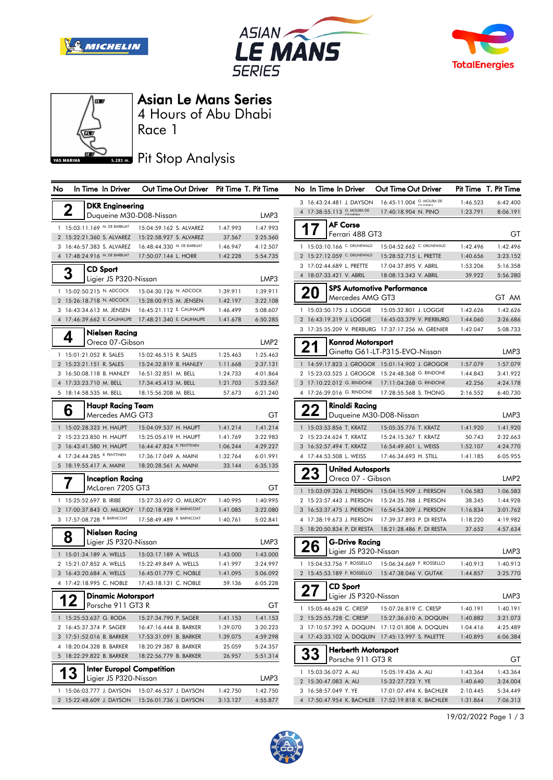







### Asian Le Mans Series

Race 1 4 Hours of Abu Dhabi

# **BRAN** Pit Stop Analysis

| טצו | III TIME IN DIVER                | <b>OUL LILLIE OUL DITAGE</b>                        | <u>Filmine</u> is filmine |                  | טאו<br>ш пле ш                 |       |
|-----|----------------------------------|-----------------------------------------------------|---------------------------|------------------|--------------------------------|-------|
|     | <b>DKR Engineering</b>           |                                                     |                           |                  | 3 16:43:24.481                 |       |
| 2   | Duqueine M30-D08-Nissan          |                                                     |                           | LMP3             | 4 17:38:55.113                 |       |
|     | 1 15:03:11.169 M. DE BARBUAT     | 15:04:59.162 S. ALVAREZ                             | 1:47.993                  | 1:47.993         |                                | AF C  |
|     | 2 15:22:21.360 S. ALVAREZ        | 15:22:58.927 S. ALVAREZ                             | 37.567                    | 2:25.560         |                                | Ferro |
|     | 3 16:46:57.383 S. ALVAREZ        | 16:48:44.330 M. DE BARBUAT                          | 1:46.947                  | 4:12.507         | 1 15:03:10.166                 |       |
|     | 4 17:48:24.916 M. DE BARBUAT     | 17:50:07.144 L. HORR                                | 1:42.228                  | 5:54.735         | 2 15:27:12.059                 |       |
|     | <b>CD Sport</b>                  |                                                     |                           |                  | 17:02:44.689<br>3              |       |
|     | Ligier JS P320-Nissan            |                                                     |                           | LMP3             | 4 18:07:33.421                 |       |
|     | 1 15:02:50.215 N. ADCOCK         | 15:04:30.126 N. ADCOCK                              | 1:39.911                  | 1:39.911         | 20                             | SPS.  |
|     | 2 15:26:18.718 N. ADCOCK         | 15:28:00.915 M. JENSEN                              | 1:42.197                  | 3:22.108         |                                | Mero  |
|     | 3 16:43:34.613 M. JENSEN         | 16:45:21.112 E. CAUHAUPE                            | 1:46.499                  | 5:08.607         | 1 15:03:50.175                 |       |
|     | 4 17:46:39.662 E. CAUHAUPE       | 17:48:21.340 E. CAUHAUPE                            | 1:41.678                  | 6:50.285         | 16:43:19.319                   |       |
|     | Nielsen Racing                   |                                                     |                           |                  | 3 17:35:35.209                 |       |
| 4   | Oreca 07-Gibson                  |                                                     |                           | LMP <sub>2</sub> | 2                              | Konı  |
|     | 1 15:01:21.052 R. SALES          | 15:02:46.515 R. SALES                               | 1:25.463                  | 1:25.463         |                                | Gine  |
|     | 2 15:23:21.151 R. SALES          | 15:24:32.819 B. HANLEY                              | 1:11.668                  | 2:37.131         | 1 14:59:17.823                 |       |
|     | 3 16:50:08.118 B. HANLEY         | 16:51:32.851 M. BELL                                | 1:24.733                  | 4:01.864         | 2 15:23:03.525                 |       |
|     | 4 17:33:23.710 M. BELL           | 17:34:45.413 M. BELL                                | 1:21.703                  | 5:23.567         | 3 17:10:22.012                 |       |
|     | 5 18:14:58.535 M. BELL           | 18:15:56.208 M. BELL                                | 57.673                    | 6:21.240         | 4 17:26:39.016                 |       |
|     | Haupt Racing Team                |                                                     |                           |                  |                                | Rina  |
| ნ   | Mercedes AMG GT3                 |                                                     |                           | GT               |                                | Duq   |
|     | 1 15:02:28.323 H. HAUPT          | 15:04:09.537 H. HAUPT                               | 1:41.214                  | 1:41.214         | 1 15:03:53.856                 |       |
|     | 2 15:23:23.850 H. HAUPT          | 15:25:05.619 H. HAUPT                               | 1:41.769                  | 3:22.983         | 2 15:23:24.624                 |       |
|     | 3 16:43:41.580 H. HAUPT          | 16:44:47.824 R. PENTTINEN                           | 1:06.244                  | 4:29.227         | 3 16:52:57.494                 |       |
| 4   | 17:34:44.285 R. PENTTINEN        | 17:36:17.049 A. MAINI                               | 1:32.764                  | 6:01.991         | 17:44:53.508<br>4              |       |
|     | 5 18:19:55.417 A. MAINI          | 18:20:28.561 A. MAINI                               | 33.144                    | 6:35.135         |                                | Unit  |
|     | <b>Inception Racing</b>          |                                                     |                           |                  | د∠                             | Oreo  |
|     | McLaren 720S GT3                 |                                                     |                           | GТ               | 1 15:03:09.326                 |       |
|     | 1 15:25:52.697 B. IRIBE          | 15:27:33.692 O. MILLROY                             | 1:40.995                  | 1:40.995         | 2 15:23:57.443                 |       |
|     |                                  | 2 17:00:37.843 O. MILLROY 17:02:18.928 B. BARNICOAT | 1:41.085                  | 3:22.080         | 16:53:37.475<br>3              |       |
|     | 3 17:57:08.728 B. BARNICOAT      | 17:58:49.489 B. BARNICOAT                           | 1:40.761                  | 5:02.841         | 17:38:19.673<br>4              |       |
|     | Nielsen Racing                   |                                                     |                           |                  | 5 18:20:50.834                 |       |
| 8   | Ligier JS P320-Nissan            |                                                     |                           | LMP3             |                                | G-D   |
|     | 1 15:01:34.189 A. WELLS          | 15:03:17.189 A. WELLS                               | 1:43.000                  | 1:43.000         |                                | Ligie |
|     | 2 15:21:07.852 A. WELLS          | 15:22:49.849 A. WELLS                               | 1:41.997                  | 3:24.997         | 1 15:04:53.756                 |       |
|     | 3 16:43:20.684 A. WELLS          | 16:45:01.779 C. NOBLE                               | 1:41.095                  | 5:06.092         | 15:45:53.189<br>$\overline{2}$ |       |
|     | 4 17:42:18.995 C. NOBLE          | 17:43:18.131 C. NOBLE                               | 59.136                    | 6:05.228         |                                | CD :  |
|     | <b>Dinamic Motorsport</b>        |                                                     |                           |                  | 27                             | Ligie |
|     | Porsche 911 GT3 R                |                                                     |                           | GT               | 1 15:05:46.628                 |       |
|     | 1 15:25:53.637 G. RODA           | 15:27:34.790 P. SAGER                               | 1:41.153                  | 1:41.153         | 2 15:25:55.728                 |       |
|     | 2 16:45:37.374 P. SAGER          | 16:47:16.444 B. BARKER                              | 1:39.070                  | 3:20.223         | 3 17:10:57.392                 |       |
|     | 3 17:51:52.016 B. BARKER         | 17:53:31.091 B. BARKER                              | 1:39.075                  | 4:59.298         | 4 17:43:33.102                 |       |
|     | 4 18:20:04.328 B. BARKER         | 18:20:29.387 B. BARKER                              | 25.059                    | 5:24.357         |                                | Hert  |
|     | 5 18:22:29.822 B. BARKER         | 18:22:56.779 B. BARKER                              | 26.957                    | 5:51.314         | <b>33</b>                      | Pors  |
| 13  | <b>Inter Europol Competition</b> |                                                     |                           |                  | 1 15:03:36.072                 |       |
|     | Ligier JS P320-Nissan            |                                                     |                           | LMP3             | 2 15:30:47.083                 |       |
|     | 1 15:06:03.777 J. DAYSON         | 15:07:46.527 J. DAYSON                              | 1:42.750                  | 1:42.750         | 3 16:58:57.049                 |       |
|     |                                  | 2 15:22:48.609 J. DAYSON 15:26:01.736 J. DAYSON     | 3:13.127                  | 4:55.877         | 4 17:50:47.954                 |       |

| No |                                                      | In Time In Driver                 | Out Time Out Driver Pit Time T. Pit Time            |                      |                      |    | No In Time In Driver                         | Out Time Out Driver                                |                      | Pit Time T. Pit Time |
|----|------------------------------------------------------|-----------------------------------|-----------------------------------------------------|----------------------|----------------------|----|----------------------------------------------|----------------------------------------------------|----------------------|----------------------|
|    |                                                      | <b>DKR</b> Engineering            |                                                     |                      |                      |    | 3 16:43:24.481 J. DAYSON                     | 16:45:11.004 G. MOURA DE                           | 1:46.523             | 6:42.400             |
|    | $\overline{\mathbf{2}}$                              |                                   | Duqueine M30-D08-Nissan                             |                      | LMP3                 |    | 4 17:38:55.113 G. MOURA DE                   | 17:40:18.904 N. PINO                               | 1:23.791             | 8:06.191             |
|    | 1 15:03:11.169 M. DE BARBUAT                         |                                   |                                                     |                      | 1:47.993             |    | <b>AF Corse</b>                              |                                                    |                      |                      |
|    | 2 15:22:21.360 S. ALVAREZ                            |                                   | 15:04:59.162 S. ALVAREZ<br>15:22:58.927 S. ALVAREZ  | 1:47.993<br>37.567   | 2:25.560             |    | Ferrari 488 GT3                              |                                                    |                      | GT                   |
|    | 3 16:46:57.383 S. ALVAREZ                            |                                   | 16:48:44.330 M. DE BARBUAT                          | 1:46.947             | 4:12.507             |    | 1 15:03:10.166 C. GRUNEWALD                  | 15:04:52.662 C. GRUNEWALD                          | 1:42.496             | 1:42.496             |
|    | 4 17:48:24.916 M. DE BARBUAT                         |                                   | 17:50:07.144 L. HORR                                | 1:42.228             | 5:54.735             |    | 2 15:27:12.059 C. GRUNEWALD                  | 15:28:52.715 L. PRETTE                             | 1:40.656             | 3:23.152             |
|    |                                                      |                                   |                                                     |                      |                      |    | 3 17:02:44.689 L. PRETTE                     | 17:04:37.895 V. ABRIL                              | 1:53.206             | 5:16.358             |
|    | 3                                                    | CD Sport<br>Ligier JS P320-Nissan |                                                     |                      | LMP3                 |    | 4 18:07:33.421 V. ABRIL                      | 18:08:13.343 V. ABRIL                              | 39.922               | 5:56.280             |
|    |                                                      |                                   |                                                     |                      |                      |    |                                              | <b>SPS Automotive Performance</b>                  |                      |                      |
|    | 1 15:02:50.215 N. ADCOCK                             |                                   | 15:04:30.126 N. ADCOCK                              | 1:39.911             | 1:39.911             | 20 | Mercedes AMG GT3                             |                                                    |                      | GT AM                |
|    | 2 15:26:18.718 N. ADCOCK<br>3 16:43:34.613 M. JENSEN |                                   | 15:28:00.915 M. JENSEN<br>16:45:21.112 E. CAUHAUPE  | 1:42.197<br>1:46.499 | 3:22.108<br>5:08.607 |    | 1 15:03:50.175 J. LOGGIE                     | 15:05:32.801 J. LOGGIE                             | 1:42.626             | 1:42.626             |
|    |                                                      | 4 17:46:39.662 E. CAUHAUPE        | 17:48:21.340 E. CAUHAUPE                            | 1:41.678             | 6:50.285             |    | 2 16:43:19.319 J. LOGGIE                     | 16:45:03.379 V. PIERBURG                           | 1:44.060             | 3:26.686             |
|    |                                                      |                                   |                                                     |                      |                      |    |                                              | 3 17:35:35.209 V. PIERBURG 17:37:17.256 M. GRENIER | 1:42.047             | 5:08.733             |
|    | 4                                                    | Nielsen Racing                    |                                                     |                      |                      |    |                                              |                                                    |                      |                      |
|    |                                                      | Oreca 07-Gibson                   |                                                     |                      | LMP <sub>2</sub>     | 21 | Konrad Motorsport                            |                                                    |                      |                      |
|    | 1 15:01:21.052 R. SALES                              |                                   | 15:02:46.515 R. SALES                               | 1:25.463             | 1:25.463             |    |                                              | Ginetta G61-LT-P315-EVO-Nissan                     |                      | LMP3                 |
|    | 2 15:23:21.151 R. SALES                              |                                   | 15:24:32.819 B. HANLEY                              | 1:11.668             | 2:37.131             |    |                                              | 1 14:59:17.823 J. GROGOR 15:01:14.902 J. GROGOR    | 1:57.079             | 1:57.079             |
|    | 3 16:50:08.118 B. HANLEY                             |                                   | 16:51:32.851 M. BELL                                | 1:24.733             | 4:01.864             |    |                                              | 2 15:23:03.525 J. GROGOR 15:24:48.368 G. RINDONE   | 1:44.843             | 3:41.922             |
|    | 4 17:33:23.710 M. BELL                               |                                   | 17:34:45.413 M. BELL                                | 1:21.703             | 5:23.567             |    | 3 17:10:22.012 G. RINDONE                    | 17:11:04.268 G. RINDONE                            | 42.256               | 4:24.178             |
|    | 5 18:14:58.535 M. BELL                               |                                   | 18:15:56.208 M. BELL                                | 57.673               | 6:21.240             |    | 4 17:26:39.016 G. RINDONE                    | 17:28:55.568 S. THONG                              | 2:16.552             | 6:40.730             |
|    | 6                                                    | Haupt Racing Team                 |                                                     |                      |                      |    | Rinaldi Racing                               |                                                    |                      |                      |
|    |                                                      | Mercedes AMG GT3                  |                                                     |                      | GT                   | 22 | Duqueine M30-D08-Nissan                      |                                                    |                      | LMP3                 |
|    | 1 15:02:28.323 H. HAUPT                              |                                   | 15:04:09.537 H. HAUPT                               | 1:41.214             | 1:41.214             |    | 1 15:03:53.856 T. KRATZ                      | 15:05:35.776 T. KRATZ                              | 1:41.920             | 1:41.920             |
|    | 2 15:23:23.850 H. HAUPT                              |                                   | 15:25:05.619 H. HAUPT                               | 1:41.769             | 3:22.983             |    | 2 15:23:24.624 T. KRATZ                      | 15:24:15.367 T. KRATZ                              | 50.743               | 2:32.663             |
|    | 3 16:43:41.580 H. HAUPT                              |                                   | 16:44:47.824 R. PENTTINEN                           | 1:06.244             | 4:29.227             |    | 3 16:52:57.494 T. KRATZ                      | 16:54:49.601 L. WEISS                              | 1:52.107             | 4:24.770             |
|    | 4 17:34:44.285 R. PENTTINEN                          |                                   | 17:36:17.049 A. MAINI                               | 1:32.764             | 6:01.991             |    | 4 17:44:53.508 L. WEISS                      | 17:46:34.693 H. STILL                              | 1:41.185             | 6:05.955             |
|    | 5 18:19:55.417 A. MAINI                              |                                   | 18:20:28.561 A. MAINI                               | 33.144               | 6:35.135             | 23 | <b>United Autosports</b>                     |                                                    |                      |                      |
|    |                                                      | <b>Inception Racing</b>           |                                                     |                      |                      |    | Oreca 07 - Gibson                            |                                                    |                      | LMP <sub>2</sub>     |
|    |                                                      | McLaren 720S GT3                  |                                                     |                      | GT                   |    | 1 15:03:09.326 J. PIERSON                    | 15:04:15.909 J. PIERSON                            | 1:06.583             | 1:06.583             |
|    | 1 15:25:52.697 B. IRIBE                              |                                   | 15:27:33.692 O. MILLROY                             | 1:40.995             | 1:40.995             |    | 2 15:23:57.443 J. PIERSON                    | 15:24:35.788 J. PIERSON                            | 38.345               | 1:44.928             |
|    |                                                      |                                   | 2 17:00:37.843 O. MILLROY 17:02:18.928 B. BARNICOAT | 1:41.085             | 3:22.080             |    | 3 16:53:37.475 J. PIERSON                    | 16:54:54.309 J. PIERSON                            | 1:16.834             | 3:01.762             |
|    | 3 17:57:08.728 B. BARNICOAT                          |                                   | 17:58:49.489 B. BARNICOAT                           | 1:40.761             | 5:02.841             |    | 4 17:38:19.673 J. PIERSON                    | 17:39:37.893 P. DI RESTA                           | 1:18.220             | 4:19.982             |
|    |                                                      | Nielsen Racing                    |                                                     |                      |                      |    | 5 18:20:50.834 P. DI RESTA                   | 18:21:28.486 P. DI RESTA                           | 37.652               | 4:57.634             |
|    | 8                                                    | Ligier JS P320-Nissan             |                                                     |                      | LMP3                 |    | <b>G-Drive Racing</b>                        |                                                    |                      |                      |
|    | 1 15:01:34.189 A. WELLS                              |                                   | 15:03:17.189 A. WELLS                               | 1:43.000             | 1:43.000             | 26 | Ligier JS P320-Nissan                        |                                                    |                      | LMP3                 |
|    | 2 15:21:07.852 A. WELLS                              |                                   | 15:22:49.849 A. WELLS                               | 1:41.997             | 3:24.997             |    | 1 15:04:53.756 F. ROSSELLO                   | 15:06:34.669 F. ROSSELLO                           | 1:40.913             | 1:40.913             |
|    | 3 16:43:20.684 A. WELLS                              |                                   | 16:45:01.779 C. NOBLE                               | 1:41.095             | 5:06.092             |    | 2 15:45:53.189 F. ROSSELLO                   | 15:47:38.046 V. GUTAK                              | 1:44.857             | 3:25.770             |
|    | 4 17:42:18.995 C. NOBLE                              |                                   | 17:43:18.131 C. NOBLE                               | 59.136               | 6:05.228             |    | <b>CD Sport</b>                              |                                                    |                      |                      |
|    | 12                                                   | <b>Dinamic Motorsport</b>         |                                                     |                      |                      | 27 | Ligier JS P320-Nissan                        |                                                    |                      | LMP3                 |
|    | । ∠                                                  | Porsche 911 GT3 R                 |                                                     |                      | GT                   |    | 1 15:05:46.628 C. CRESP                      | 15:07:26.819 C. CRESP                              | 1:40.191             | 1:40.191             |
|    | 1 15:25:53.637 G. RODA                               |                                   | 15:27:34.790 P. SAGER                               | 1:41.153             | 1:41.153             |    | 2 15:25:55.728 C. CRESP                      | 15:27:36.610 A. DOQUIN                             | 1:40.882             | 3:21.073             |
|    | 2 16:45:37.374 P. SAGER                              |                                   | 16:47:16.444 B. BARKER                              | 1:39.070             | 3:20.223             |    |                                              | 3 17:10:57.392 A. DOQUIN 17:12:01.808 A. DOQUIN    | 1:04.416             | 4:25.489             |
|    | 3 17:51:52.016 B. BARKER                             |                                   | 17:53:31.091 B. BARKER                              | 1:39.075             | 4:59.298             |    |                                              | 4 17:43:33.102 A. DOQUIN 17:45:13.997 S. PALETTE   | 1:40.895             | 6:06.384             |
|    | 4 18:20:04.328 B. BARKER                             |                                   | 18:20:29.387 B. BARKER                              | 25.059               | 5:24.357             |    |                                              |                                                    |                      |                      |
|    | 5 18:22:29.822 B. BARKER                             |                                   | 18:22:56.779 B. BARKER                              | 26.957               | 5:51.314             | 33 | Herberth Motorsport<br>Porsche 911 GT3 R     |                                                    |                      | GТ                   |
|    |                                                      |                                   | <b>Inter Europol Competition</b>                    |                      |                      |    |                                              |                                                    |                      |                      |
|    | 13                                                   | Ligier JS P320-Nissan             |                                                     |                      | LMP3                 |    | 1 15:03:36.072 A. AU                         | 15:05:19.436 A. AU                                 | 1:43.364             | 1:43.364             |
|    |                                                      |                                   | 1 15:06:03.777 J. DAYSON 15:07:46.527 J. DAYSON     | 1:42.750             | 1:42.750             |    | 2 15:30:47.083 A. AU<br>3 16:58:57.049 Y. YE | 15:32:27.723 Y. YE<br>17:01:07.494 K. BACHLER      | 1:40.640<br>2:10.445 | 3:24.004<br>5:34.449 |
|    |                                                      |                                   | 2 15:22:48.609 J. DAYSON 15:26:01.736 J. DAYSON     | 3:13.127             | 4:55.877             |    |                                              | 4 17:50:47.954 K. BACHLER 17:52:19.818 K. BACHLER  | 1:31.864             | 7:06.313             |
|    |                                                      |                                   |                                                     |                      |                      |    |                                              |                                                    |                      |                      |

19/02/2022 Page 1 / 3

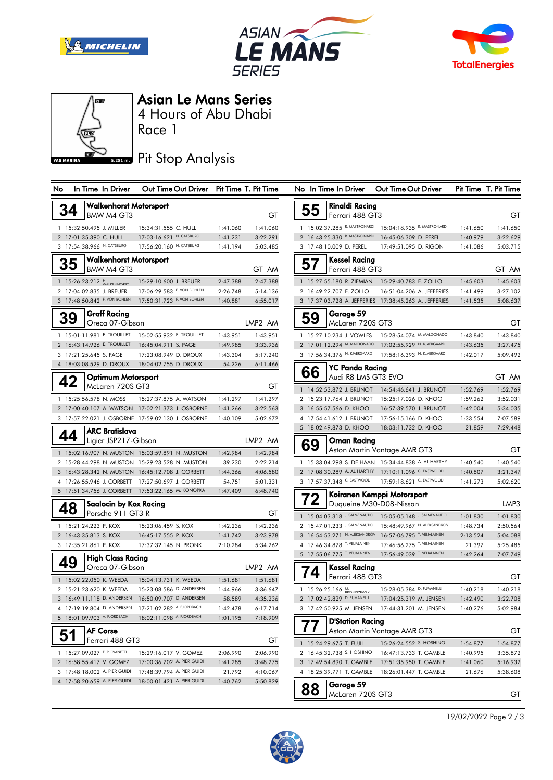







### Asian Le Mans Series

Race 1 4 Hours of Abu Dhabi

# **5.281 m.** Pit Stop Analysis

| <b>NO</b> | in lime in Driver                                  | <b>Our Time Our Driver</b>                        |          | Pit lime 1. Pit lime | N0<br>in lime      |         |
|-----------|----------------------------------------------------|---------------------------------------------------|----------|----------------------|--------------------|---------|
| 34        | <b>Walkenhorst Motorsport</b>                      |                                                   |          |                      | 55                 | R       |
|           | BMW M4 GT3                                         |                                                   |          | GT                   |                    | F)      |
|           | 1 15:32:50.495 J. MILLER                           | 15:34:31.555 C. HULL                              | 1:41.060 | 1:41.060             | 1 15:02:37.2       |         |
|           | 2 17:01:35.390 C. HULL                             | 17:03:16.621 N. CATSBURG                          | 1:41.231 | 3:22.291             | 2 16:43:25.3       |         |
|           | 3 17:54:38.966 N. CATSBURG                         | 17:56:20.160 N. CATSBURG                          | 1:41.194 | 5:03.485             | 3 17:48:10.0       |         |
| 35        | <b>Walkenhorst Motorsport</b><br><b>BMW M4 GT3</b> |                                                   |          | GT AM                | 51                 | κ<br>F۰ |
|           | 1 15:26:23.212 H.                                  | 15:29:10.600 J. BREUER                            | 2:47.388 | 2:47.388             | 1 15:27:55.        |         |
|           | 2 17:04:02.835 J. BREUER                           | 17:06:29.583 F. VON BOHLEN                        | 2:26.748 | 5:14.136             | 2 16:49:22.7       |         |
|           | 3 17:48:50.842 F. VON BOHLEN                       | 17:50:31.723 F. VON BOHLEN                        | 1:40.881 | 6:55.017             | 3 17:37:03.7       |         |
| 39        | <b>Graff Racing</b><br>Oreca 07-Gibson             |                                                   |          | LMP <sub>2</sub> AM  | O                  | C<br>Ν  |
|           | 1 15:01:11.981 E. TROUILLET                        | 15:02:55.932 E. TROUILLET                         | 1:43.951 | 1:43.951             | 1 15:27:10.2       |         |
|           | 2 16:43:14.926 E. TROUILLET                        | 16:45:04.911 S. PAGE                              | 1:49.985 | 3:33.936             | 2 17:01:12.2       |         |
|           | 3 17:21:25.645 S. PAGE                             | 17:23:08.949 D. DROUX                             | 1:43.304 | 5:17.240             | 3 17:56:34.3       |         |
|           | 4 18:03:08.529 D. DROUX                            | 18:04:02.755 D. DROUX                             | 54.226   | 6:11.466             |                    | Υ       |
| 42        | Optimum Motorsport<br>McLaren 720S GT3             |                                                   |          | GТ                   | 66<br>1 14:52:53.8 | A       |
|           | 1 15:25:56.578 N. MOSS                             | 15:27:37.875 A. WATSON                            | 1:41.297 | 1:41.297             | 2 15:23:17.7       |         |
|           |                                                    | 2 17:00:40.107 A. WATSON 17:02:21.373 J. OSBORNE  | 1:41.266 | 3:22.563             | 3 16:55:57.5       |         |
|           |                                                    | 3 17:57:22.021 J. OSBORNE 17:59:02.130 J. OSBORNE | 1:40.109 | 5:02.672             | 4 17:54:41.6       |         |
|           | ARC Bratislava                                     |                                                   |          |                      | 5 18:02:49.8       |         |
| 44        | Ligier JSP217-Gibson                               |                                                   |          | LMP <sub>2</sub> AM  |                    |         |
|           |                                                    | 1 15:02:16.907 N. MUSTON 15:03:59.891 N. MUSTON   | 1:42.984 | 1:42.984             | 69                 | A       |
|           |                                                    | 2 15:28:44.298 N. MUSTON 15:29:23.528 N. MUSTON   | 39.230   | 2:22.214             | 1 15:33:04.2       |         |
|           |                                                    | 3 16:43:28.342 N. MUSTON 16:45:12.708 J. CORBETT  | 1:44.366 | 4:06.580             | 2 17:08:30.2       |         |
|           | 4 17:26:55.946 J. CORBETT                          | 17:27:50.697 J. CORBETT                           | 54.751   | 5:01.331             | 3 17:57:37.3       |         |
|           | 5 17:51:34.756 J. CORBETT                          | 17:53:22.165 M. KONOPKA                           | 1:47.409 | 6:48.740             |                    | Κ       |
|           | Saalocin by Kox Racing<br>Porsche 911 GT3 R        |                                                   |          | GТ                   | 1 15:04:03.3       | D       |
|           | 1 15:21:24.223 P. KOX                              | 15:23:06.459 S. KOX                               | 1:42.236 | 1:42.236             | 2 15:47:01.2       |         |
|           | 2 16:43:35.813 S. KOX                              | 16:45:17.555 P. KOX                               | 1:41.742 | 3:23.978             | 3 16:54:53.2       |         |
|           | 3 17:35:21.861 P. KOX                              | 17:37:32.145 N. PRONK                             | 2:10.284 | 5:34.262             | 4 17:46:34.8       |         |
|           | High Class Racing                                  |                                                   |          |                      | 5 17:55:06.7       |         |
|           | Oreca 07-Gibson                                    |                                                   |          | LMP2 AM              |                    | κ       |
|           | 1 15:02:22.050 K. WEEDA                            | 15:04:13.731 K. WEEDA                             | 1:51.681 | 1:51.681             |                    | F۰      |
|           | 2 15:21:23.620 K. WEEDA                            | 15:23:08.586 D. ANDERSEN                          | 1:44.966 | 3:36.647             | 1 15:26:25.        |         |
|           | 3 16:49:11.118 D. ANDERSEN                         | 16:50:09.707 D. ANDERSEN                          | 58.589   | 4:35.236             | 2 17:02:42.8       |         |
|           | 4 17:19:19.804 D. ANDERSEN                         | 17:21:02.282 A. FJORDBACH                         | 1:42.478 | 6:17.714             | 3 17:42:50.9       |         |
|           | 5 18:01:09.903 A. FJORDBACH                        | 18:02:11.098 A. FJORDBACH                         | 1:01.195 | 7:18.909             |                    | D       |
|           | AF Corse<br>Ferrari 488 GT3                        |                                                   |          | GТ                   | 1 15:24:29.6       | A       |
|           | 1 15:27:09.027 F. PIOVANETTI                       | 15:29:16.017 V. GOMEZ                             | 2:06.990 | 2:06.990             | 2 16:45:32.7       |         |
|           | 2 16:58:55.417 V. GOMEZ                            | 17:00:36.702 A. PIER GUIDI                        | 1:41.285 | 3:48.275             | 3 17:49:54.8       |         |
|           | 3 17:48:18.002 A. PIER GUIDI                       | 17:48:39.794 A. PIER GUIDI                        | 21.792   | 4:10.067             | 4 18:25:39.7       |         |
|           | 4 17:58:20.659 A. PIER GUIDI                       | 18:00:01.421 A. PIER GUIDI                        | 1:40.762 | 5:50.829             |                    | c       |
|           |                                                    |                                                   |          |                      |                    |         |

| No |           | In Time In Driver                              | Out Time Out Driver Pit Time T. Pit Time                                                                 |                    |                      |                | No In Time In Driver                           | Out Time Out Driver                                                              |          | Pit Time T. Pit Time |
|----|-----------|------------------------------------------------|----------------------------------------------------------------------------------------------------------|--------------------|----------------------|----------------|------------------------------------------------|----------------------------------------------------------------------------------|----------|----------------------|
|    | 34        | Walkenhorst Motorsport<br>BMW M4 GT3           |                                                                                                          |                    | GT                   | 55             | Rinaldi Racing<br>Ferrari 488 GT3              |                                                                                  |          | GТ                   |
|    |           | 1 15:32:50.495 J. MILLER                       | 15:34:31.555 C. HULL                                                                                     | 1:41.060           | 1:41.060             |                | 1 15:02:37.285 R. MASTRONARDI                  | 15:04:18.935 R. MASTRONARDI                                                      | 1:41.650 | 1:41.650             |
|    |           | 2 17:01:35.390 C. HULL                         | 17:03:16.621 N. CATSBURG                                                                                 | 1:41.231           | 3:22.291             |                | 2 16:43:25.330 R. MASTRONARDI                  | 16:45:06.309 D. PEREL                                                            | 1:40.979 | 3:22.629             |
|    |           | 3 17:54:38.966 N. CATSBURG                     | 17:56:20.160 N. CATSBURG                                                                                 | 1:41.194           | 5:03.485             |                | 3 17:48:10.009 D. PEREL                        | 17:49:51.095 D. RIGON                                                            | 1:41.086 | 5:03.715             |
|    | 35        | <b>Walkenhorst Motorsport</b><br>BMW M4 GT3    |                                                                                                          |                    | GT AM                | 57             | <b>Kessel Racing</b><br>Ferrari 488 GT3        |                                                                                  |          | GT AM                |
|    |           | 1 15:26:23.212 H.                              | 15:29:10.600 J. BREUER                                                                                   | 2:47.388           | 2:47.388             |                | 1 15:27:55.180 R. ZIEMIAN                      | 15:29:40.783 F. ZOLLO                                                            | 1:45.603 | 1:45.603             |
|    |           | 2 17:04:02.835 J. BREUER                       | 17:06:29.583 F. VON BOHLEN                                                                               | 2:26.748           | 5:14.136             |                | 2 16:49:22.707 F. ZOLLO                        | 16:51:04.206 A. JEFFERIES                                                        | 1:41.499 | 3:27.102             |
|    |           | 3 17:48:50.842 F. VON BOHLEN                   | 17:50:31.723 F. VON BOHLEN                                                                               | 1:40.881           | 6:55.017             |                |                                                | 3 17:37:03.728 A. JEFFERIES 17:38:45.263 A. JEFFERIES                            | 1:41.535 | 5:08.637             |
|    | <b>39</b> | <b>Graff Racing</b><br>Oreca 07-Gibson         |                                                                                                          |                    | LMP2 AM              | 59             | Garage 59<br>McLaren 720S GT3                  |                                                                                  |          | GТ                   |
|    |           |                                                | 1 15:01:11.981 E. TROUILLET  15:02:55.932 E. TROUILLET                                                   | 1:43.951           | 1:43.951             |                | 1 15:27:10.234 J. VOWLES                       | 15:28:54.074 M. MALDONADO                                                        | 1:43.840 | 1:43.840             |
|    |           | 2 16:43:14.926 E. TROUILLET                    | 16:45:04.911 S. PAGE                                                                                     | 1:49.985           | 3:33.936             |                | 2 17:01:12.294 M. MALDONADO                    | 17:02:55.929 N. KJAERGAARD                                                       | 1:43.635 | 3:27.475             |
|    |           | 3 17:21:25.645 S. PAGE                         | 17:23:08.949 D. DROUX                                                                                    | 1:43.304           | 5:17.240             |                | 3 17:56:34.376 N. KJAERGAARD                   | 17:58:16.393 N. KJAERGAARD                                                       | 1:42.017 | 5:09.492             |
|    | 42        | 4 18:03:08.529 D. DROUX<br>Optimum Motorsport  | 18:04:02.755 D. DROUX                                                                                    | 54.226             | 6:11.466             | 66             | <b>YC Panda Racing</b><br>Audi R8 LMS GT3 EVO  |                                                                                  |          | GT AM                |
|    |           | McLaren 720S GT3                               |                                                                                                          |                    | GT                   |                |                                                | 1 14:52:53.872 J. BRUNOT  14:54:46.641 J. BRUNOT                                 | 1:52.769 | 1:52.769             |
|    |           | 1 15:25:56.578 N. MOSS                         | 15:27:37.875 A. WATSON                                                                                   | 1:41.297           | 1:41.297             |                | 2 15:23:17.764 J. BRUNOT                       | 15:25:17.026 D. KHOO                                                             | 1:59.262 | 3:52.031             |
|    |           |                                                | 2 17:00:40.107 A. WATSON 17:02:21.373 J. OSBORNE                                                         | 1:41.266           | 3:22.563             |                | 3 16:55:57.566 D. KHOO                         | 16:57:39.570 J. BRUNOT                                                           | 1:42.004 | 5:34.035             |
|    |           |                                                | 3 17:57:22.021 J. OSBORNE 17:59:02.130 J. OSBORNE                                                        | 1:40.109           | 5:02.672             |                | 4 17:54:41.612 J. BRUNOT                       | 17:56:15.166 D. KHOO                                                             | 1:33.554 | 7:07.589             |
|    |           | <b>ARC Bratislava</b>                          |                                                                                                          |                    |                      |                | 5 18:02:49.873 D. KHOO                         | 18:03:11.732 D. KHOO                                                             | 21.859   | 7:29.448             |
|    | 44        | Ligier JSP217-Gibson                           |                                                                                                          |                    | LMP2 AM              | 69             | Oman Racina                                    | Aston Martin Vantage AMR GT3                                                     |          | GT                   |
|    |           |                                                | 1 15:02:16.907 N. MUSTON 15:03:59.891 N. MUSTON                                                          | 1:42.984           | 1:42.984             |                |                                                |                                                                                  |          |                      |
|    |           |                                                | 2 15:28:44.298 N. MUSTON 15:29:23.528 N. MUSTON                                                          | 39.230             | 2:22.214             |                |                                                | 1 15:33:04.298 S. DE HAAN 15:34:44.838 A. AL HARTHY                              | 1:40.540 | 1:40.540             |
|    |           |                                                | 3 16:43:28.342 N. MUSTON 16:45:12.708 J. CORBETT                                                         | 1:44.366           | 4:06.580             |                | 3 17:57:37.348 C. EASTWOOD                     | 2 17:08:30.289 A. AL HARTHY 17:10:11.096 C. EASTWOOD<br>17:59:18.621 C. EASTWOOD | 1:40.807 | 3:21.347             |
|    |           |                                                | 4 17:26:55.946 J. CORBETT  17:27:50.697 J. CORBETT<br>5 17:51:34.756 J. CORBETT  17:53:22.165 M. KONOPKA | 54.751<br>1:47.409 | 5:01.331<br>6:48.740 |                |                                                |                                                                                  | 1:41.273 | 5:02.620             |
|    | 48        | <b>Saalocin by Kox Racing</b>                  |                                                                                                          |                    |                      | 72             | Duqueine M30-D08-Nissan                        | Koiranen Kemppi Motorsport                                                       |          | LMP3                 |
|    |           | Porsche 911 GT3 R                              |                                                                                                          |                    | GT                   |                | 1 15:04:03.318 J. SALMENAUTIO                  | 15:05:05.148 J. SALMENAUTIO                                                      | 1:01.830 | 1:01.830             |
|    |           | 1 15:21:24.223 P. KOX                          | 15:23:06.459 S. KOX                                                                                      | 1:42.236           | 1:42.236             |                | 2 15:47:01.233 J. SALMENAUTIO                  | 15:48:49.967 N. ALEKSANDROV                                                      | 1:48.734 | 2:50.564             |
|    |           | 2 16:43:35.813 S. KOX                          | 16:45:17.555 P. KOX                                                                                      | 1:41.742           | 3:23.978             |                | 3 16:54:53.271 N. ALEKSANDROV                  | 16:57:06.795 T. VEIJALAINEN                                                      | 2:13.524 | 5:04.088             |
|    |           | 3 17:35:21.861 P. KOX                          | 17:37:32.145 N. PRONK                                                                                    | 2:10.284           | 5:34.262             |                | 4 17:46:34.878 T. VEIJALAINEN                  | 17:46:56.275 T. VEIJALAINEN                                                      | 21.397   | 5:25.485             |
|    | 49        | High Class Racing<br>Oreca 07-Gibson           |                                                                                                          |                    | LMP2 AM              | 74             | 5 17:55:06.775 T. VEIJALAINEN<br>Kessel Racing | 17:56:49.039 T. VEIJALAINEN                                                      | 1:42.264 | 7:07.749             |
|    |           | 1 15:02:22.050 K. WEEDA                        | 15:04:13.731 K. WEEDA                                                                                    | 1:51.681           | 1:51.681             |                | Ferrari 488 GT3                                |                                                                                  |          | GТ                   |
|    |           | 2 15:21:23.620 K. WEEDA                        | 15:23:08.586 D. ANDERSEN                                                                                 | 1:44.966           | 3:36.647             |                | 1 15:26:25.166 М.                              | 15:28:05.384 D. FUMANELLI                                                        | 1:40.218 | 1:40.218             |
|    |           |                                                | 3 16:49:11.118 D. ANDERSEN 16:50:09.707 D. ANDERSEN                                                      | 58.589             | 4:35.236             |                | 2 17:02:42.829 D. FUMANELLI                    | 17:04:25.319 M. JENSEN                                                           | 1:42.490 | 3:22.708             |
|    |           |                                                | 4 17:19:19.804 D. ANDERSEN 17:21:02.282 A. FJORDBACH                                                     | 1:42.478           | 6:17.714             |                |                                                | 3 17:42:50.925 M. JENSEN  17:44:31.201 M. JENSEN                                 | 1:40.276 | 5:02.984             |
|    |           | 5 18:01:09.903 A. FJORDBACH<br><b>AF Corse</b> | 18:02:11.098 A. FJORDBACH                                                                                | 1:01.195           | 7:18.909             | $\prime\prime$ | <b>D'Station Racing</b>                        | Aston Martin Vantage AMR GT3                                                     |          | GТ                   |
|    | 51        | Ferrari 488 GT3                                |                                                                                                          |                    | GT                   |                | 1 15:24:29.675 T. FUJII                        | 15:26:24.552 S. HOSHINO                                                          | 1:54.877 | 1:54.877             |
|    |           | 1 15:27:09.027 F. PIOVANETTI                   | 15:29:16.017 V. GOMEZ                                                                                    | 2:06.990           | 2:06.990             |                | 2 16:45:32.738 S. HOSHINO                      | 16:47:13.733 T. GAMBLE                                                           | 1:40.995 | 3:35.872             |
|    |           | 2 16:58:55.417 V. GOMEZ                        | 17:00:36.702 A. PIER GUIDI                                                                               | 1:41.285           | 3:48.275             |                | 3 17:49:54.890 T. GAMBLE                       | 17:51:35.950 T. GAMBLE                                                           | 1:41.060 | 5:16.932             |
|    |           | 3 17:48:18.002 A. PIER GUIDI                   | 17:48:39.794 A. PIER GUIDI                                                                               | 21.792             | 4:10.067             |                | 4 18:25:39.771 T. GAMBLE                       | 18:26:01.447 T. GAMBLE                                                           | 21.676   | 5:38.608             |
|    |           | 4 17:58:20.659 A. PIER GUIDI                   | 18:00:01.421 A. PIER GUIDI                                                                               | 1:40.762           | 5:50.829             | 88             | Garage 59<br>McLaren 720S GT3                  |                                                                                  |          | GТ                   |